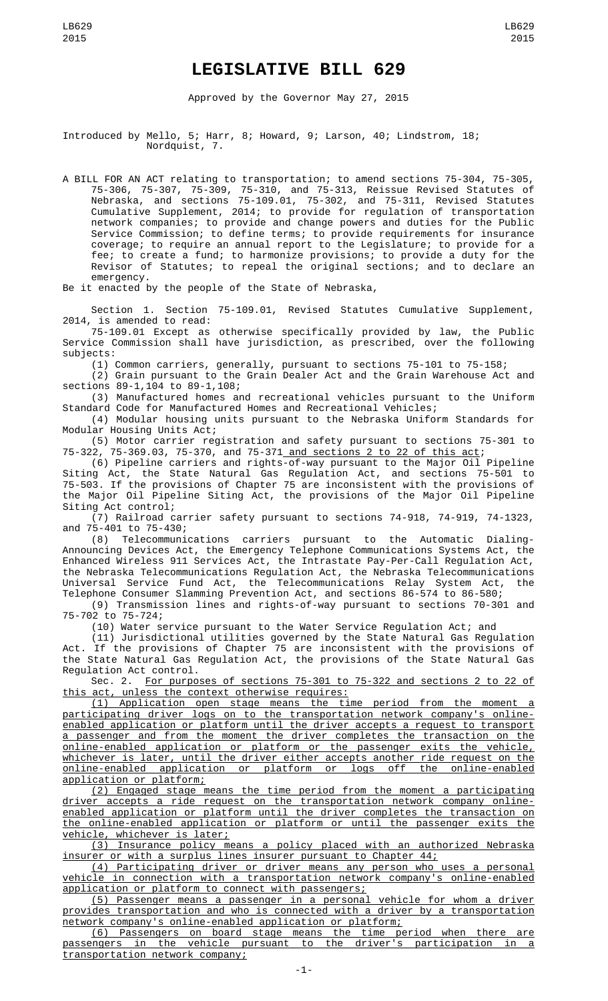## **LEGISLATIVE BILL 629**

Approved by the Governor May 27, 2015

Introduced by Mello, 5; Harr, 8; Howard, 9; Larson, 40; Lindstrom, 18; Nordquist, 7.

A BILL FOR AN ACT relating to transportation; to amend sections 75-304, 75-305, 75-306, 75-307, 75-309, 75-310, and 75-313, Reissue Revised Statutes of Nebraska, and sections 75-109.01, 75-302, and 75-311, Revised Statutes Cumulative Supplement, 2014; to provide for regulation of transportation network companies; to provide and change powers and duties for the Public Service Commission; to define terms; to provide requirements for insurance coverage; to require an annual report to the Legislature; to provide for a fee; to create a fund; to harmonize provisions; to provide a duty for the Revisor of Statutes; to repeal the original sections; and to declare an emergency.

Be it enacted by the people of the State of Nebraska,

Section 1. Section 75-109.01, Revised Statutes Cumulative Supplement, 2014, is amended to read:

75-109.01 Except as otherwise specifically provided by law, the Public Service Commission shall have jurisdiction, as prescribed, over the following subjects:

(1) Common carriers, generally, pursuant to sections 75-101 to 75-158;

(2) Grain pursuant to the Grain Dealer Act and the Grain Warehouse Act and sections 89-1,104 to 89-1,108;

(3) Manufactured homes and recreational vehicles pursuant to the Uniform Standard Code for Manufactured Homes and Recreational Vehicles;

(4) Modular housing units pursuant to the Nebraska Uniform Standards for Modular Housing Units Act;

(5) Motor carrier registration and safety pursuant to sections 75-301 to 75-322, 75-369.03, 75-370, and 75-371<u> and sections 2 to 22 of this act</u>;

(6) Pipeline carriers and rights-of-way pursuant to the Major Oil Pipeline Siting Act, the State Natural Gas Regulation Act, and sections 75-501 to 75-503. If the provisions of Chapter 75 are inconsistent with the provisions of the Major Oil Pipeline Siting Act, the provisions of the Major Oil Pipeline Siting Act control;

(7) Railroad carrier safety pursuant to sections 74-918, 74-919, 74-1323, and 75-401 to 75-430;

(8) Telecommunications carriers pursuant to the Automatic Dialing-Announcing Devices Act, the Emergency Telephone Communications Systems Act, the Enhanced Wireless 911 Services Act, the Intrastate Pay-Per-Call Regulation Act, the Nebraska Telecommunications Regulation Act, the Nebraska Telecommunications Universal Service Fund Act, the Telecommunications Relay System Act, the Telephone Consumer Slamming Prevention Act, and sections 86-574 to 86-580;

(9) Transmission lines and rights-of-way pursuant to sections 70-301 and 75-702 to 75-724;

(10) Water service pursuant to the Water Service Regulation Act; and

(11) Jurisdictional utilities governed by the State Natural Gas Regulation Act. If the provisions of Chapter 75 are inconsistent with the provisions of the State Natural Gas Regulation Act, the provisions of the State Natural Gas Regulation Act control.

Sec. 2. For purposes of sections 75-301 to 75-322 and sections 2 to 22 of this act, unless the context otherwise requires:

(1) Application open stage means the time period from the moment a participating driver logs on to the transportation network company's onlineenabled application or platform until the driver accepts a request to transport a passenger and from the moment the driver completes the transaction on the online-enabled application or platform or the passenger exits the vehicle, whichever is later, until the driver either accepts another ride request on the online-enabled application or platform or logs off the online-enabled application or platform;

(2) Engaged stage means the time period from the moment a participating driver accepts a ride request on the transportation network company onlineenabled application or platform until the driver completes the transaction on the online-enabled application or platform or until the passenger exits the vehicle, whichever is later;

(3) Insurance policy means a policy placed with an authorized Nebraska insurer or with a surplus lines insurer pursuant to Chapter 44;

(4) Participating driver or driver means any person who uses a personal vehicle in connection with a transportation network company's online-enabled application or platform to connect with passengers;

(5) Passenger means a passenger in a personal vehicle for whom a driver provides transportation and who is connected with a driver by a transportation network company's online-enabled application or platform;

(6) Passengers on board stage means the time period when there are passengers in the vehicle pursuant to the driver's participation in a transportation network company;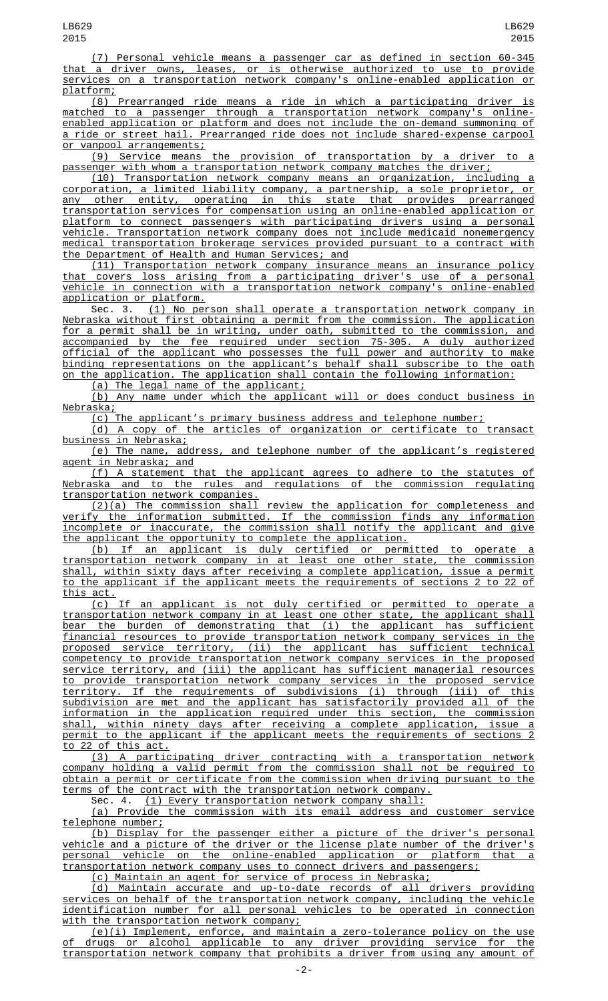(7) Personal vehicle means a passenger car as defined in section 60-345 that a driver owns, leases, or is otherwise authorized to use to provide services on a transportation network company's online-enabled application or platform;

(8) Prearranged ride means a ride in which a participating driver is matched to a passenger through a transportation network company's onlineenabled application or platform and does not include the on-demand summoning of a ride or street hail. Prearranged ride does not include shared-expense carpool or vanpool arrangements;

 $(9)$  Service means the provision of transportation by a driver passenger with whom a transportation network company matches the driver;

(10) Transportation network company means an organization, including a corporation, a limited liability company, a partnership, a sole proprietor, or any other entity, operating in this state that provides prearranged transportation services for compensation using an online-enabled application or platform to connect passengers with participating drivers using a personal vehicle. Transportation network company does not include medicaid nonemergency medical transportation brokerage services provided pursuant to a contract with the Department of Health and Human Services; and

(11) Transportation network company insurance means an insurance policy that covers loss arising from a participating driver's use of a personal vehicle in connection with a transportation network company's online-enabled application or platform.

Sec. 3. (1) No person shall operate a transportation network company in Nebraska without first obtaining a permit from the commission. The application for a permit shall be in writing, under oath, submitted to the commission, and accompanied by the fee required under section 75-305. A duly authorized official of the applicant who possesses the full power and authority to make binding representations on the applicant's behalf shall subscribe to the oath on the application. The application shall contain the following information:

(a) The legal name of the applicant;

(b) Any name under which the applicant will or does conduct business in <u>Nebraska;</u>

(c) The applicant's primary business address and telephone number;

(d) A copy of the articles of organization or certificate to transact business in Nebraska;

(e) The name, address, and telephone number of the applicant's registered agent in Nebraska; and

(f) A statement that the applicant agrees to adhere to the statutes of Nebraska and to the rules and regulations of the commission regulating transportation network companies.

(2)(a) The commission shall review the application for completeness and verify the information submitted. If the commission finds any information incomplete or inaccurate, the commission shall notify the applicant and give the applicant the opportunity to complete the application.

(b) If an applicant is duly certified or permitted to operate a transportation network company in at least one other state, the commission shall, within sixty days after receiving a complete application, issue a permit to the applicant if the applicant meets the requirements of sections 2 to 22 of this act.

(c) If an applicant is not duly certified or permitted to operate transportation network company in at least one other state, the applicant shall bear the burden of demonstrating that (i) the applicant has sufficient financial resources to provide transportation network company services in the proposed service territory, (ii) the applicant has sufficient technical competency to provide transportation network company services in the proposed service territory, and (iii) the applicant has sufficient managerial resources to provide transportation network company services in the proposed service territory. If the requirements of subdivisions (i) through (iii) of this subdivision are met and the applicant has satisfactorily provided all of the information in the application required under this section, the commission shall, within ninety days after receiving a complete application, issue a permit to the applicant if the applicant meets the requirements of sections 2 to 22 of this act.

(3) A participating driver contracting with a transportation network company holding a valid permit from the commission shall not be required to obtain a permit or certificate from the commission when driving pursuant to the terms of the contract with the transportation network company.

Sec. 4. (1) Every transportation network company shall:

(a) Provide the commission with its email address and customer service telephone number;

(b) Display for the passenger either a picture of the driver's personal vehicle and a picture of the driver or the license plate number of the driver's personal vehicle on the online-enabled application or platform that a transportation network company uses to connect drivers and passengers;

(c) Maintain an agent for service of process in Nebraska;

(d) Maintain accurate and up-to-date records of all drivers providing services on behalf of the transportation network company, including the vehicle identification number for all personal vehicles to be operated in connection with the transportation network company;

(e)(i) Implement, enforce, and maintain a zero-tolerance policy on the use of drugs or alcohol applicable to any driver providing service for the transportation network company that prohibits a driver from using any amount of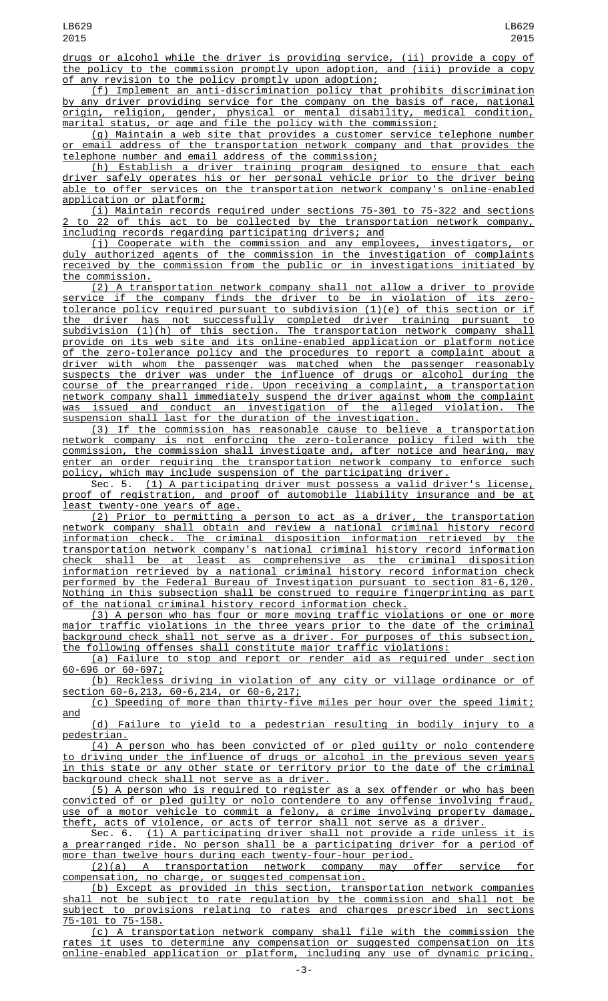drugs or alcohol while the driver is providing service, (ii) provide a copy of the policy to the commission promptly upon adoption, and (iii) provide a copy of any revision to the policy promptly upon adoption;

(f) Implement an anti-discrimination policy that prohibits discrimination by any driver providing service for the company on the basis of race, national origin, religion, gender, physical or mental disability, medical condition, marital status, or age and file the policy with the commission;

(g) Maintain a web site that provides a customer service telephone number or email address of the transportation network company and that provides the telephone number and email address of the commission;

(h) Establish a driver training program designed to ensure that each driver safely operates his or her personal vehicle prior to the driver being able to offer services on the transportation network company's online-enabled application or platform;

(i) Maintain records required under sections 75-301 to 75-322 and sections to 22 of this act to be collected by the transportation network company, including records regarding participating drivers; and

(j) Cooperate with the commission and any employees, investigators, or duly authorized agents of the commission in the investigation of complaints received by the commission from the public or in investigations initiated by the commission.

(2) A transportation network company shall not allow a driver to provide service if the company finds the driver to be in violation of its zerotolerance policy required pursuant to subdivision (1)(e) of this section or if the driver has not successfully completed driver training pursuant to subdivision (1)(h) of this section. The transportation network company shall provide on its web site and its online-enabled application or platform notice of the zero-tolerance policy and the procedures to report a complaint about a driver with whom the passenger was matched when the passenger reasonably suspects the driver was under the influence of drugs or alcohol during the course of the prearranged ride. Upon receiving a complaint, a transportation network company shall immediately suspend the driver against whom the complaint was issued and conduct an investigation of the alleged violation. The suspension shall last for the duration of the investigation.

(3) If the commission has reasonable cause to believe a transportation network company is not enforcing the zero-tolerance policy filed with the commission, the commission shall investigate and, after notice and hearing, may enter an order requiring the transportation network company to enforce such policy, which may include suspension of the participating driver.<br>Sec. 5. (1) A participating driver must possess a valid dri

 $(1)$  A participating driver must possess a valid driver's license, proof of registration, and proof of automobile liability insurance and be at least twenty-one years of age.

(2) Prior to permitting a person to act as a driver, the transportation network company shall obtain and review a national criminal history record information check. The criminal disposition information retrieved by the transportation network company's national criminal history record information check shall be at least as comprehensive as the criminal disposition information retrieved by a national criminal history record information check performed by the Federal Bureau of Investigation pursuant to section 81-6,120. Nothing in this subsection shall be construed to require fingerprinting as part of the national criminal history record information check.

(3) A person who has four or more moving traffic violations or one or more major traffic violations in the three years prior to the date of the criminal background check shall not serve as a driver. For purposes of this subsection, the following offenses shall constitute major traffic violations:

(a) Failure to stop and report or render aid as required under section 60-696 or 60-697;

(b) Reckless driving in violation of any city or village ordinance or of section 60-6,213, 60-6,214, or 60-6,217;

(c) Speeding of more than thirty-five miles per hour over the speed limit; and

(d) Failure to yield to a pedestrian resulting in bodily injury to a pedestrian.

 $\overline{(4)}$  A person who has been convicted of or pled guilty or nolo contendere to driving under the influence of drugs or alcohol in the previous seven years in this state or any other state or territory prior to the date of the criminal background check shall not serve as a driver.

(5) A person who is required to register as a sex offender or who has been convicted of or pled guilty or nolo contendere to any offense involving fraud, use of a motor vehicle to commit a felony, a crime involving property damage, theft, acts of violence, or acts of terror shall not serve as a driver.

Sec. 6. (1) A participating driver shall not provide a ride unless it is a prearranged ride. No person shall be a participating driver for a period of more than twelve hours during each twenty-four-hour period.<br>(2)(a) A transportation network company may offer

(2)(a) A transportation network company may offer service for compensation, no charge, or suggested compensation.

(b) Except as provided in this section, transportation network companies shall not be subject to rate regulation by the commission and shall not be subject to provisions relating to rates and charges prescribed in sections 75-101 to 75-158.

(c) A transportation network company shall file with the commission the rates it uses to determine any compensation or suggested compensation on its online-enabled application or platform, including any use of dynamic pricing.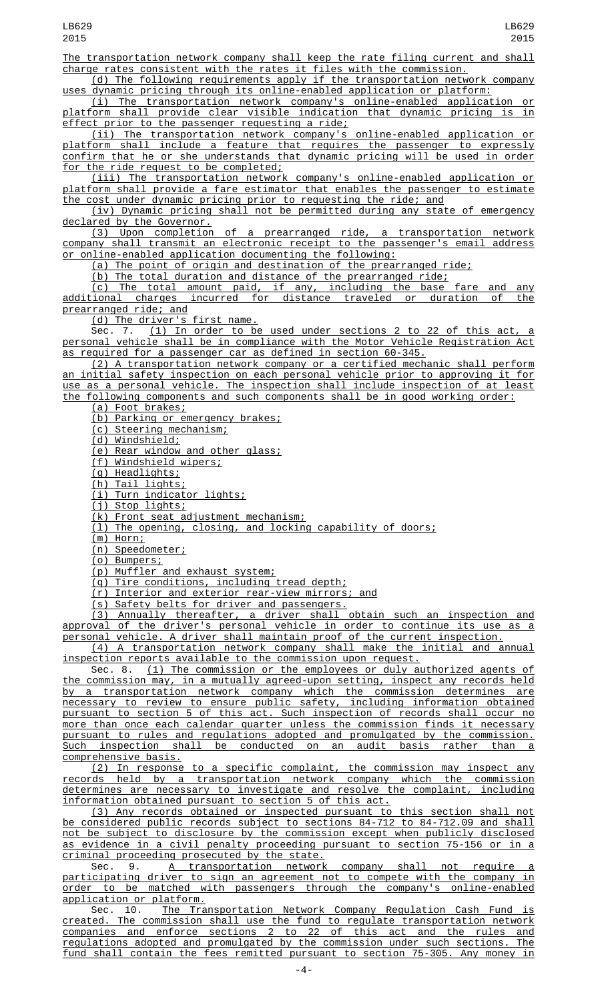The transportation network company shall keep the rate filing current and shall charge rates consistent with the rates it files with the commission.

(d) The following requirements apply if the transportation network company uses dynamic pricing through its online-enabled application or platform:

(i) The transportation network company's online-enabled application or platform shall provide clear visible indication that dynamic pricing is in effect prior to the passenger requesting a ride;

(ii) The transportation network company's online-enabled application or platform shall include a feature that requires the passenger to expressly confirm that he or she understands that dynamic pricing will be used in order for the ride request to be completed;

(iii) The transportation network company's online-enabled application or platform shall provide a fare estimator that enables the passenger to estimate the cost under dynamic pricing prior to requesting the ride; and

(iv) Dynamic pricing shall not be permitted during any state of emergency declared by the Governor.

(3) Upon completion of a prearranged ride, a transportation network company shall transmit an electronic receipt to the passenger's email address or online-enabled application documenting the following:

(a) The point of origin and destination of the prearranged ride;

(b) The total duration and distance of the prearranged ride;

(c) The total amount paid, if any, including the base fare and any additional charges incurred for distance traveled or duration of the prearranged ride; and

(d) The driver's first name.

Sec. 7. (1) In order to be used under sections 2 to 22 of this act, a personal vehicle shall be in compliance with the Motor Vehicle Registration Act as required for a passenger car as defined in section 60-345.

(2) A transportation network company or a certified mechanic shall perform an initial safety inspection on each personal vehicle prior to approving it for use as a personal vehicle. The inspection shall include inspection of at least the following components and such components shall be in good working order:

(a) Foot brakes;

(b) Parking or emergency brakes;

(c) Steering mechanism;

(d) Windshield;

(e) Rear window and other glass;

(f) Windshield wipers;

(g) Headlights;

(h) Tail lights;

(i) Turn indicator lights;

(j) Stop lights;

(k) Front seat adjustment mechanism;

(l) The opening, closing, and locking capability of doors;

(m) Horn;

(n) Speedometer;

(o) Bumpers;

(p) Muffler and exhaust system;

(q) Tire conditions, including tread depth;

(r) Interior and exterior rear-view mirrors; and

(s) Safety belts for driver and passengers.

(3) Annually thereafter, a driver shall obtain such an inspection and approval of the driver's personal vehicle in order to continue its use as a personal vehicle. A driver shall maintain proof of the current inspection.

(4) A transportation network company shall make the initial and annual inspection reports available to the commission upon request.

Sec. 8. (1) The commission or the employees or duly authorized agents of the commission may, in a mutually agreed-upon setting, inspect any records held by a transportation network company which the commission determines are necessary to review to ensure public safety, including information obtained pursuant to section 5 of this act. Such inspection of records shall occur no more than once each calendar quarter unless the commission finds it necessary pursuant to rules and regulations adopted and promulgated by the commission. Such inspection shall be conducted on an audit basis rather than a comprehensive basis.

(2) In response to a specific complaint, the commission may inspect any records held by a transportation network company which the commission determines are necessary to investigate and resolve the complaint, including information obtained pursuant to section 5 of this act.

(3) Any records obtained or inspected pursuant to this section shall not be considered public records subject to sections 84-712 to 84-712.09 and shall not be subject to disclosure by the commission except when publicly disclosed as evidence in a civil penalty proceeding pursuant to section 75-156 or in a criminal proceeding prosecuted by the state.

Sec. 9. <u>A transportation network company shall not require a</u> participating driver to sign an agreement not to compete with the company in order to be matched with passengers through the company's online-enabled application or platform.<br>Sec. 10. The Tra

The Transportation Network Company Regulation Cash Fund is created. The commission shall use the fund to regulate transportation network companies and enforce sections 2 to 22 of this act and the rules and regulations adopted and promulgated by the commission under such sections. The fund shall contain the fees remitted pursuant to section 75-305. Any money in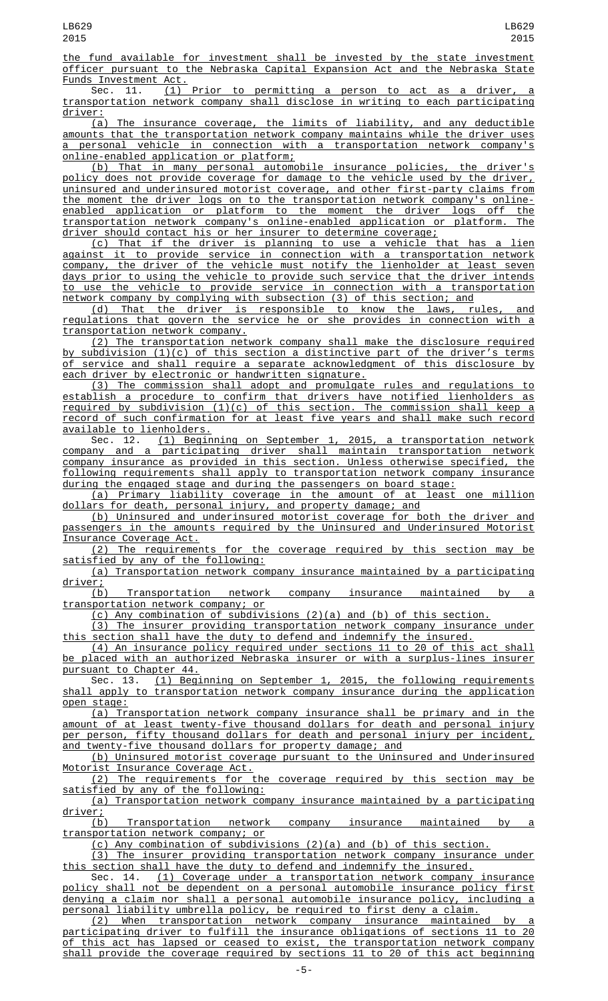the fund available for investment shall be invested by the state investment officer pursuant to the Nebraska Capital Expansion Act and the Nebraska State

Funds Investment Act.<br>Sec. 11. (1) Prior to permitting a person to act as a driver, a transportation network company shall disclose in writing to each participating

driver:<br>(a) The insurance coverage, the limits of liability, and any deductible amounts that the transportation network company maintains while the driver uses a personal vehicle in connection with a transportation network company's online-enabled application or platform;

(b) That in many personal automobile insurance policies, the driver's policy does not provide coverage for damage to the vehicle used by the driver, uninsured and underinsured motorist coverage, and other first-party claims from the moment the driver logs on to the transportation network company's onlineenabled application or platform to the moment the driver logs off the transportation network company's online-enabled application or platform. The driver should contact his or her insurer to determine coverage;

(c) That if the driver is planning to use a vehicle that has a lien against it to provide service in connection with a transportation network company, the driver of the vehicle must notify the lienholder at least seven days prior to using the vehicle to provide such service that the driver intends to use the vehicle to provide service in connection with a transportation network company by complying with subsection (3) of this section; and

(d) That the driver is responsible to know the laws, rules, and regulations that govern the service he or she provides in connection with a transportation network company.

(2) The transportation network company shall make the disclosure required by subdivision (1)(c) of this section a distinctive part of the driver's terms of service and shall require a separate acknowledgment of this disclosure by each driver by electronic or handwritten signature.

(3) The commission shall adopt and promulgate rules and regulations to establish a procedure to confirm that drivers have notified lienholders as required by subdivision (1)(c) of this section. The commission shall keep a record of such confirmation for at least five years and shall make such record available to lienholders.

Sec. 12. (1) Beginning on September 1, 2015, a transportation network company and a participating driver shall maintain transportation network company insurance as provided in this section. Unless otherwise specified, the following requirements shall apply to transportation network company insurance during the engaged stage and during the passengers on board stage:<br>(a) Primary liability coverage in the amount of at least

(a) Primary liability coverage in the amount of at least one million dollars for death, personal injury, and property damage; and

(b) Uninsured and underinsured motorist coverage for both the driver and passengers in the amounts required by the Uninsured and Underinsured Motorist Insurance Coverage Act.

(2) The requirements for the coverage required by this section may be satisfied by any of the following:

(a) Transportation network company insurance maintained by a participating <u>driver;</u>

(b) Transportation network company insurance maintained by transportation network company; or

(c) Any combination of subdivisions (2)(a) and (b) of this section.

(3) The insurer providing transportation network company insurance under this section shall have the duty to defend and indemnify the insured.

(4) An insurance policy required under sections 11 to 20 of this act shall be placed with an authorized Nebraska insurer or with a surplus-lines insurer pursuant to Chapter 44.<br>Sec. 13. (1) Begi

 $(1)$  Beginning on September 1, 2015, the following requirements shall apply to transportation network company insurance during the application open stage:

(a) Transportation network company insurance shall be primary and in the amount of at least twenty-five thousand dollars for death and personal injury per person, fifty thousand dollars for death and personal injury per incident,<br>and twenty-five thousand dollars for property damage; and twenty-five thousand dollars for property damage; and

(b) Uninsured motorist coverage pursuant to the Uninsured and Underinsured Motorist Insurance Coverage Act.

(2) The requirements for the coverage required by this section may be satisfied by any of the following:

(a) Transportation network company insurance maintained by a participating driver;

(b) Transportation network company insurance maintained by transportation network company; or

(c) Any combination of subdivisions (2)(a) and (b) of this section.

(3) The insurer providing transportation network company insurance under this section shall have the duty to defend and indemnify the insured.

Sec. 14. (1) Coverage under a transportation network company insurance policy shall not be dependent on a personal automobile insurance policy first denying a claim nor shall a personal automobile insurance policy, including a personal liability umbrella policy, be required to first deny a claim.

(2) When transportation network company insurance maintained by a participating driver to fulfill the insurance obligations of sections 11 to 20 of this act has lapsed or ceased to exist, the transportation network company shall provide the coverage required by sections 11 to 20 of this act beginning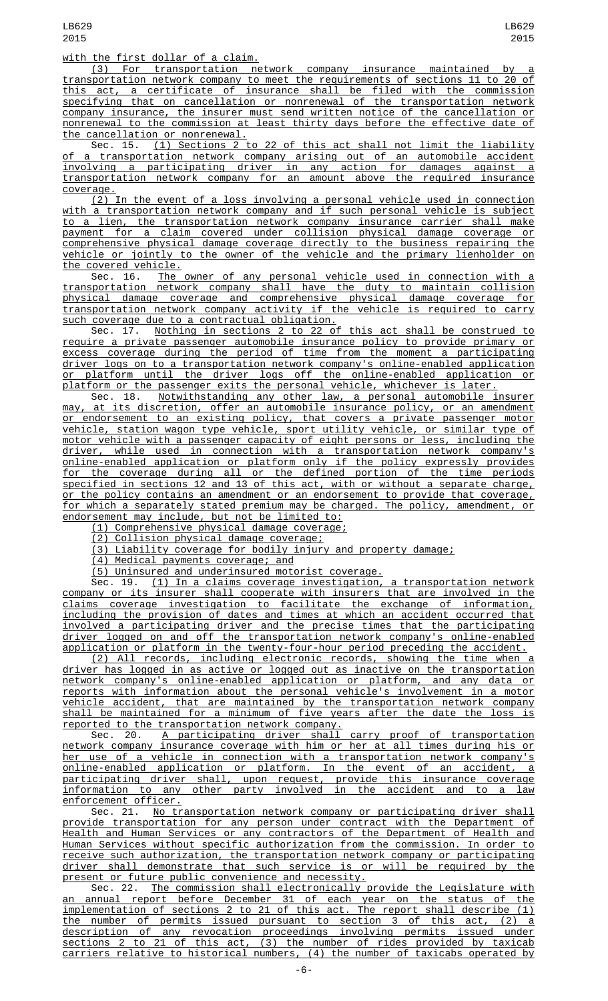with the first dollar of a claim.

LB629 2015

(3) For transportation network company insurance maintained by a transportation network company to meet the requirements of sections 11 to 20 of this act, a certificate of insurance shall be filed with the commission specifying that on cancellation or nonrenewal of the transportation network company insurance, the insurer must send written notice of the cancellation or nonrenewal to the commission at least thirty days before the effective date of the cancellation or nonrenewal.

Sec. 15. (1) Sections 2 to 22 of this act shall not limit the liability of a transportation network company arising out of an automobile accident involving a participating driver in any action for damages against a transportation network company for an amount above the required insurance coverage.

(2) In the event of a loss involving a personal vehicle used in connection with a transportation network company and if such personal vehicle is subject to a lien, the transportation network company insurance carrier shall make payment for a claim covered under collision physical damage coverage or comprehensive physical damage coverage directly to the business repairing the vehicle or jointly to the owner of the vehicle and the primary lienholder on the covered vehicle.

Sec. 16. The owner of any personal vehicle used in connection with a transportation network company shall have the duty to maintain collision physical damage coverage and comprehensive physical damage coverage for transportation network company activity if the vehicle is required to carry such coverage due to a contractual obligation.

Sec. 17. Nothing in sections 2 to 22 of this act shall be construed to require a private passenger automobile insurance policy to provide primary or excess coverage during the period of time from the moment a participating driver logs on to a transportation network company's online-enabled application or platform until the driver logs off the online-enabled application or platform or the passenger exits the personal vehicle, whichever is later.

Sec. 18. Notwithstanding any other law, a personal automobile insurer may, at its discretion, offer an automobile insurance policy, or an amendment or endorsement to an existing policy, that covers a private passenger motor vehicle, station wagon type vehicle, sport utility vehicle, or similar type of motor vehicle with a passenger capacity of eight persons or less, including the driver, while used in connection with a transportation network company's online-enabled application or platform only if the policy expressly provides for the coverage during all or the defined portion of the time periods specified in sections 12 and 13 of this act, with or without a separate charge, or the policy contains an amendment or an endorsement to provide that coverage, for which a separately stated premium may be charged. The policy, amendment, or endorsement may include, but not be limited to:

(1) Comprehensive physical damage coverage;

(2) Collision physical damage coverage;

(3) Liability coverage for bodily injury and property damage;

(4) Medical payments coverage; and

(5) Uninsured and underinsured motorist coverage.

Sec. 19. (1) In a claims coverage investigation, a transportation network company or its insurer shall cooperate with insurers that are involved in the claims coverage investigation to facilitate the exchange of information, including the provision of dates and times at which an accident occurred that involved a participating driver and the precise times that the participating driver logged on and off the transportation network company's online-enabled application or platform in the twenty-four-hour period preceding the accident.

(2) All records, including electronic records, showing the time when a driver has logged in as active or logged out as inactive on the transportation network company's online-enabled application or platform, and any data or reports with information about the personal vehicle's involvement in a motor vehicle accident, that are maintained by the transportation network company shall be maintained for a minimum of five years after the date the loss is reported to the transportation network company.

Sec. 20. <u>A participating driver shall carry proof of transportation</u> network company insurance coverage with him or her at all times during his or her use of a vehicle in connection with a transportation network company's online-enabled application or platform. In the event of an accident, a participating driver shall, upon request, provide this insurance coverage information to any other party involved in the accident and to a law enforcement officer.

Sec. 21. No transportation network company or participating driver shall provide transportation for any person under contract with the Department of Health and Human Services or any contractors of the Department of Health and Human Services without specific authorization from the commission. In order to receive such authorization, the transportation network company or participating driver shall demonstrate that such service is or will be required by the present or future public convenience and necessity.

Sec. 22. The commission shall electronically provide the Legislature with an annual report before December 31 of each year on the status of the implementation of sections 2 to 21 of this act. The report shall describe (1) the number of permits issued pursuant to section 3 of this act, (2) a description of any revocation proceedings involving permits issued under sections 2 to 21 of this act, (3) the number of rides provided by taxicab carriers relative to historical numbers, (4) the number of taxicabs operated by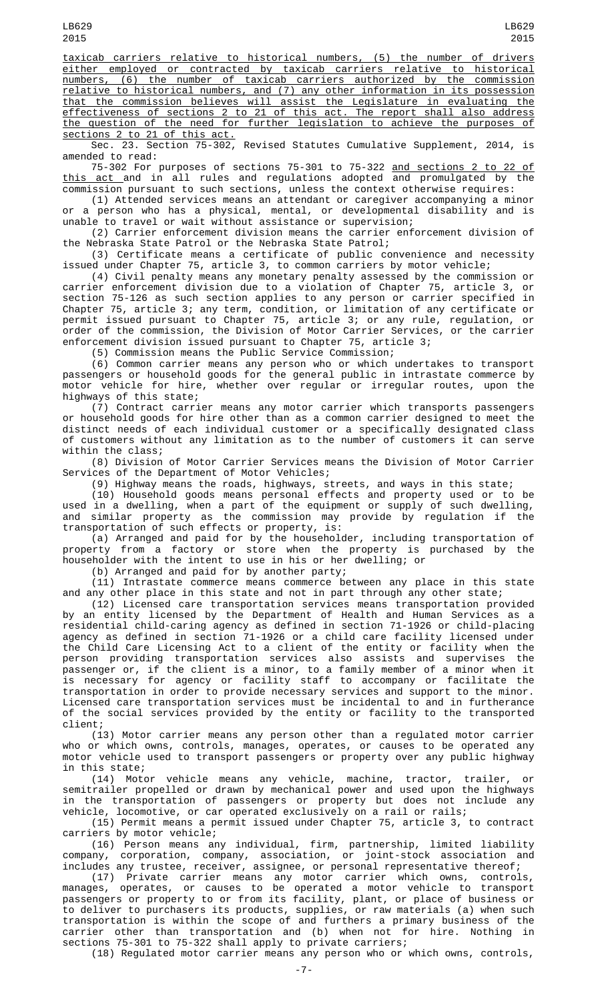taxicab carriers relative to historical numbers, (5) the number of drivers either employed or contracted by taxicab carriers relative to historical numbers, (6) the number of taxicab carriers authorized by the commission relative to historical numbers, and (7) any other information in its possession that the commission believes will assist the Legislature in evaluating the effectiveness of sections 2 to 21 of this act. The report shall also address the question of the need for further legislation to achieve the purposes of sections 2 to 21 of this act.

Sec. 23. Section 75-302, Revised Statutes Cumulative Supplement, 2014, is amended to read:

75-302 For purposes of sections 75-301 to 75-322 and sections 2 to 22 of <u>this act and in all rules and regulations adopted and promulgated by the</u> commission pursuant to such sections, unless the context otherwise requires:

(1) Attended services means an attendant or caregiver accompanying a minor or a person who has a physical, mental, or developmental disability and is unable to travel or wait without assistance or supervision;

(2) Carrier enforcement division means the carrier enforcement division of the Nebraska State Patrol or the Nebraska State Patrol;

(3) Certificate means a certificate of public convenience and necessity issued under Chapter 75, article 3, to common carriers by motor vehicle;

(4) Civil penalty means any monetary penalty assessed by the commission or carrier enforcement division due to a violation of Chapter 75, article 3, or section 75-126 as such section applies to any person or carrier specified in Chapter 75, article 3; any term, condition, or limitation of any certificate or permit issued pursuant to Chapter 75, article 3; or any rule, regulation, or order of the commission, the Division of Motor Carrier Services, or the carrier enforcement division issued pursuant to Chapter 75, article 3;

(5) Commission means the Public Service Commission;

(6) Common carrier means any person who or which undertakes to transport passengers or household goods for the general public in intrastate commerce by motor vehicle for hire, whether over regular or irregular routes, upon the highways of this state;

(7) Contract carrier means any motor carrier which transports passengers or household goods for hire other than as a common carrier designed to meet the distinct needs of each individual customer or a specifically designated class of customers without any limitation as to the number of customers it can serve within the class;

(8) Division of Motor Carrier Services means the Division of Motor Carrier Services of the Department of Motor Vehicles;

(9) Highway means the roads, highways, streets, and ways in this state;

(10) Household goods means personal effects and property used or to be used in a dwelling, when a part of the equipment or supply of such dwelling, and similar property as the commission may provide by regulation if the transportation of such effects or property, is:

(a) Arranged and paid for by the householder, including transportation of property from a factory or store when the property is purchased by the householder with the intent to use in his or her dwelling; or

(b) Arranged and paid for by another party;

(11) Intrastate commerce means commerce between any place in this state and any other place in this state and not in part through any other state;

(12) Licensed care transportation services means transportation provided by an entity licensed by the Department of Health and Human Services as a residential child-caring agency as defined in section 71-1926 or child-placing agency as defined in section 71-1926 or a child care facility licensed under the Child Care Licensing Act to a client of the entity or facility when the person providing transportation services also assists and supervises the passenger or, if the client is a minor, to a family member of a minor when it is necessary for agency or facility staff to accompany or facilitate the transportation in order to provide necessary services and support to the minor. Licensed care transportation services must be incidental to and in furtherance of the social services provided by the entity or facility to the transported client;

(13) Motor carrier means any person other than a regulated motor carrier who or which owns, controls, manages, operates, or causes to be operated any motor vehicle used to transport passengers or property over any public highway in this state;

(14) Motor vehicle means any vehicle, machine, tractor, trailer, or semitrailer propelled or drawn by mechanical power and used upon the highways in the transportation of passengers or property but does not include any vehicle, locomotive, or car operated exclusively on a rail or rails;

(15) Permit means a permit issued under Chapter 75, article 3, to contract carriers by motor vehicle;

(16) Person means any individual, firm, partnership, limited liability company, corporation, company, association, or joint-stock association and includes any trustee, receiver, assignee, or personal representative thereof;

(17) Private carrier means any motor carrier which owns, controls, manages, operates, or causes to be operated a motor vehicle to transport passengers or property to or from its facility, plant, or place of business or to deliver to purchasers its products, supplies, or raw materials (a) when such transportation is within the scope of and furthers a primary business of the carrier other than transportation and (b) when not for hire. Nothing in sections 75-301 to 75-322 shall apply to private carriers;

(18) Regulated motor carrier means any person who or which owns, controls,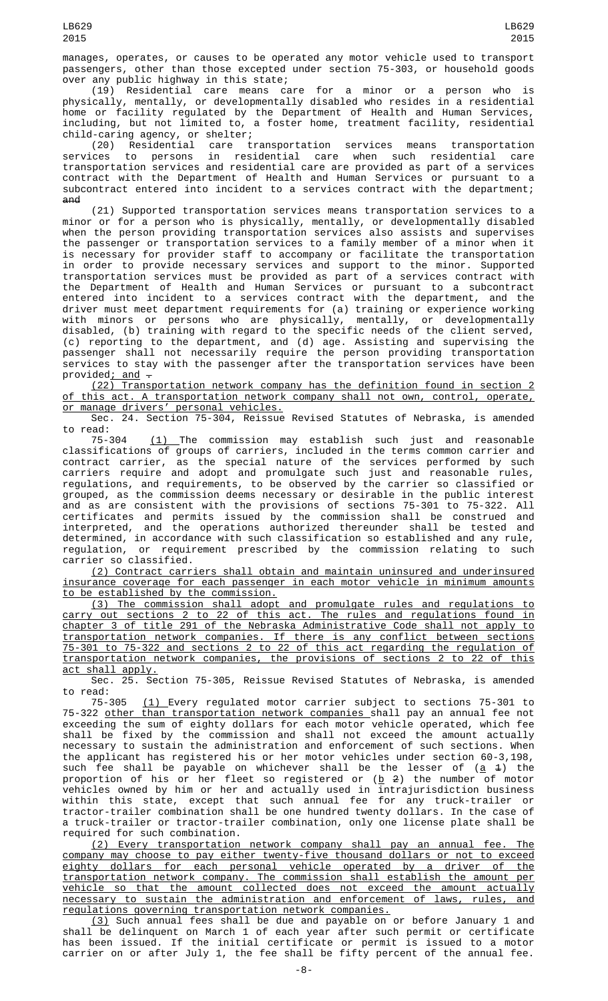(19) Residential care means care for a minor or a person who is physically, mentally, or developmentally disabled who resides in a residential home or facility regulated by the Department of Health and Human Services, including, but not limited to, a foster home, treatment facility, residential child-caring agency, or shelter;

(20) Residential care transportation services means transportation services to persons in residential care when such residential care transportation services and residential care are provided as part of a services contract with the Department of Health and Human Services or pursuant to a subcontract entered into incident to a services contract with the department; and

(21) Supported transportation services means transportation services to a minor or for a person who is physically, mentally, or developmentally disabled when the person providing transportation services also assists and supervises the passenger or transportation services to a family member of a minor when it is necessary for provider staff to accompany or facilitate the transportation in order to provide necessary services and support to the minor. Supported transportation services must be provided as part of a services contract with the Department of Health and Human Services or pursuant to a subcontract entered into incident to a services contract with the department, and the driver must meet department requirements for (a) training or experience working with minors or persons who are physically, mentally, or developmentally disabled, (b) training with regard to the specific needs of the client served, (c) reporting to the department, and (d) age. Assisting and supervising the passenger shall not necessarily require the person providing transportation services to stay with the passenger after the transportation services have been provided<u>; and</u>  $\hbox{\large -}$ 

(22) Transportation network company has the definition found in section 2 of this act. A transportation network company shall not own, control, operate, or manage drivers' personal vehicles.

Sec. 24. Section 75-304, Reissue Revised Statutes of Nebraska, is amended to read:<br>75-304

 $(1)$  The commission may establish such just and reasonable classifications of groups of carriers, included in the terms common carrier and contract carrier, as the special nature of the services performed by such carriers require and adopt and promulgate such just and reasonable rules, regulations, and requirements, to be observed by the carrier so classified or grouped, as the commission deems necessary or desirable in the public interest and as are consistent with the provisions of sections 75-301 to 75-322. All certificates and permits issued by the commission shall be construed and<br>interpreted, and the operations authorized thereunder shall be tested and interpreted, and the operations authorized thereunder shall be tested and determined, in accordance with such classification so established and any rule, regulation, or requirement prescribed by the commission relating to such carrier so classified.

(2) Contract carriers shall obtain and maintain uninsured and underinsured insurance coverage for each passenger in each motor vehicle in minimum amounts to be established by the commission.

(3) The commission shall adopt and promulgate rules and regulations to carry out sections 2 to 22 of this act. The rules and regulations found in chapter 3 of title 291 of the Nebraska Administrative Code shall not apply to transportation network companies. If there is any conflict between sections 75-301 to 75-322 and sections 2 to 22 of this act regarding the regulation of transportation network companies, the provisions of sections 2 to 22 of this act shall apply.

Sec. 25. Section 75-305, Reissue Revised Statutes of Nebraska, is amended

to read:<br>75-305 75-305 (1) Every regulated motor carrier subject to sections 75-301 to 75-322 other than transportation network companies shall pay an annual fee not exceeding the sum of eighty dollars for each motor vehicle operated, which fee shall be fixed by the commission and shall not exceed the amount actually necessary to sustain the administration and enforcement of such sections. When the applicant has registered his or her motor vehicles under section 60-3,198, such fee shall be payable on whichever shall be the lesser of (<u>a</u> <del>1</del>) the proportion of his or her fleet so registered or (<u>b</u> 2) the number of motor vehicles owned by him or her and actually used in intrajurisdiction business within this state, except that such annual fee for any truck-trailer or tractor-trailer combination shall be one hundred twenty dollars. In the case of a truck-trailer or tractor-trailer combination, only one license plate shall be required for such combination.

(2) Every transportation network company shall pay an annual fee. The company may choose to pay either twenty-five thousand dollars or not to exceed eighty dollars for each personal vehicle operated by a driver of the transportation network company. The commission shall establish the amount per vehicle so that the amount collected does not exceed the amount actually necessary to sustain the administration and enforcement of laws, rules, and regulations governing transportation network companies.

(3) Such annual fees shall be due and payable on or before January 1 and shall be delinquent on March 1 of each year after such permit or certificate has been issued. If the initial certificate or permit is issued to a motor carrier on or after July 1, the fee shall be fifty percent of the annual fee.

LB629 2015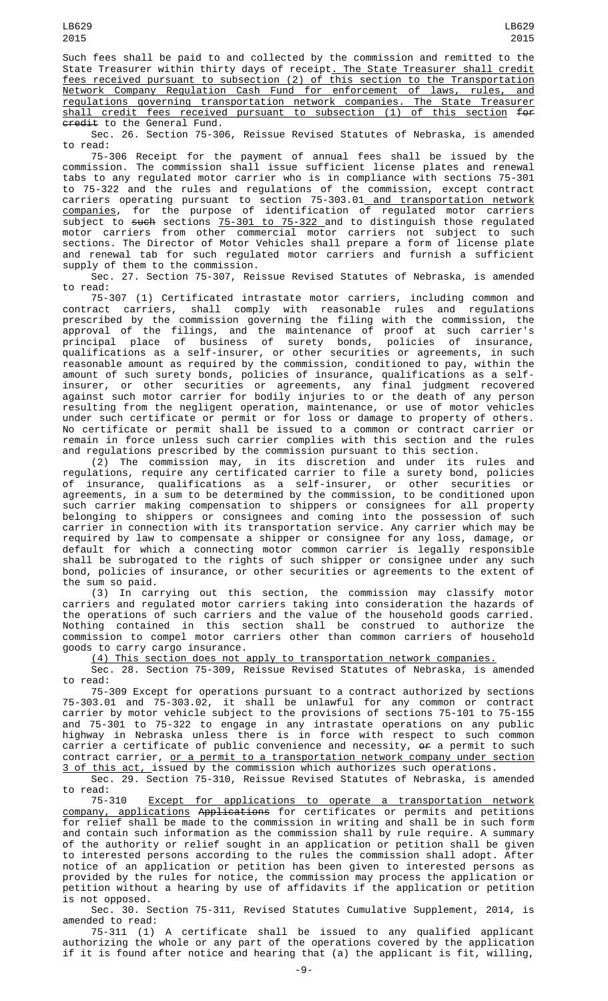Such fees shall be paid to and collected by the commission and remitted to the State Treasurer within thirty days of receipt<u>. The State Treasurer shall credit</u> fees received pursuant to subsection (2) of this section to the Transportation Network Company Regulation Cash Fund for enforcement of laws, rules, and regulations governing transportation network companies. The State Treasurer shall credit fees received pursuant to subsection (1) of this section for credit to the General Fund.

Sec. 26. Section 75-306, Reissue Revised Statutes of Nebraska, is amended to read:

75-306 Receipt for the payment of annual fees shall be issued by the commission. The commission shall issue sufficient license plates and renewal tabs to any regulated motor carrier who is in compliance with sections 75-301 to 75-322 and the rules and regulations of the commission, except contract carriers operating pursuant to section 75-303.01<u> and transportation network</u> companies, for the purpose of identification of regulated motor carriers subject to <del>such</del> sections <u>75-301 to 75-322 </u>and to distinguish those regulated motor carriers from other commercial motor carriers not subject to such sections. The Director of Motor Vehicles shall prepare a form of license plate and renewal tab for such regulated motor carriers and furnish a sufficient supply of them to the commission.

Sec. 27. Section 75-307, Reissue Revised Statutes of Nebraska, is amended to read:

75-307 (1) Certificated intrastate motor carriers, including common and contract carriers, shall comply with reasonable rules and regulations contract carriers, shall comply with reasonable rules and regulations prescribed by the commission governing the filing with the commission, the approval of the filings, and the maintenance of proof at such carrier's principal place of business of surety bonds, policies of insurance, qualifications as a self-insurer, or other securities or agreements, in such reasonable amount as required by the commission, conditioned to pay, within the amount of such surety bonds, policies of insurance, qualifications as a selfinsurer, or other securities or agreements, any final judgment recovered against such motor carrier for bodily injuries to or the death of any person resulting from the negligent operation, maintenance, or use of motor vehicles under such certificate or permit or for loss or damage to property of others. No certificate or permit shall be issued to a common or contract carrier or remain in force unless such carrier complies with this section and the rules and regulations prescribed by the commission pursuant to this section.

(2) The commission may, in its discretion and under its rules and regulations, require any certificated carrier to file a surety bond, policies of insurance, qualifications as a self-insurer, or other securities or agreements, in a sum to be determined by the commission, to be conditioned upon such carrier making compensation to shippers or consignees for all property belonging to shippers or consignees and coming into the possession of such carrier in connection with its transportation service. Any carrier which may be required by law to compensate a shipper or consignee for any loss, damage, or default for which a connecting motor common carrier is legally responsible shall be subrogated to the rights of such shipper or consignee under any such bond, policies of insurance, or other securities or agreements to the extent of the sum so paid.

(3) In carrying out this section, the commission may classify motor carriers and regulated motor carriers taking into consideration the hazards of the operations of such carriers and the value of the household goods carried. Nothing contained in this section shall be construed to authorize the commission to compel motor carriers other than common carriers of household goods to carry cargo insurance.

(4) This section does not apply to transportation network companies.

Sec. 28. Section 75-309, Reissue Revised Statutes of Nebraska, is amended to read:

75-309 Except for operations pursuant to a contract authorized by sections 75-303.01 and 75-303.02, it shall be unlawful for any common or contract carrier by motor vehicle subject to the provisions of sections 75-101 to 75-155 and 75-301 to 75-322 to engage in any intrastate operations on any public highway in Nebraska unless there is in force with respect to such common carrier a certificate of public convenience and necessity, or a permit to such contract carrier, or a permit to a transportation network company under section <u>3 of this act, </u>issued by the commission which authorizes such operations.

Sec. 29. Section 75-310, Reissue Revised Statutes of Nebraska, is amended to read:

75-310 Except for applications to operate a transportation network company, applications Applications for certificates or permits and petitions for relief shall be made to the commission in writing and shall be in such form and contain such information as the commission shall by rule require. A summary of the authority or relief sought in an application or petition shall be given to interested persons according to the rules the commission shall adopt. After notice of an application or petition has been given to interested persons as provided by the rules for notice, the commission may process the application or petition without a hearing by use of affidavits if the application or petition is not opposed.

Sec. 30. Section 75-311, Revised Statutes Cumulative Supplement, 2014, is amended to read:

75-311 (1) A certificate shall be issued to any qualified applicant authorizing the whole or any part of the operations covered by the application if it is found after notice and hearing that (a) the applicant is fit, willing,